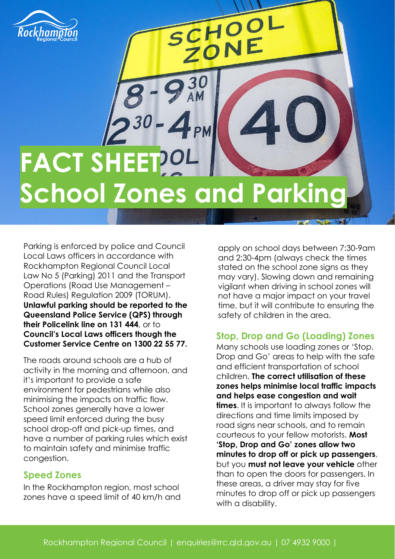

# FACT SHEET<sup>201</sup> **School Zones and Parking**

SCHOOL

Parking is enforced by police and Council Local Laws officers in accordance with Rockhampton Regional Council Local Law No 5 (Parking) 2011 and the Transport Operations (Road Use Management – Road Rules) Regulation 2009 (TORUM). **Unlawful parking should be reported to the Queensland Police Service (QPS) through their Policelink line on 131 444**, or to **Council's Local Laws officers though the Customer Service Centre on 1300 22 55 77.**

The roads around schools are a hub of activity in the morning and afternoon, and it's important to provide a safe environment for pedestrians while also minimising the impacts on traffic flow. School zones generally have a lower speed limit enforced during the busy school drop-off and pick-up times, and have a number of parking rules which exist to maintain safety and minimise traffic congestion.

## **Speed Zones**

In the Rockhampton region, most school zones have a speed limit of 40 km/h and

apply on school days between 7:30-9am and 2:30-4pm (always check the times stated on the school zone signs as they may vary). Slowing down and remaining vigilant when driving in school zones will not have a major impact on your travel time, but it will contribute to ensuring the safety of children in the area.

# **Stop, Drop and Go (Loading) Zones**

Many schools use loading zones or 'Stop, Drop and Go' areas to help with the safe and efficient transportation of school children. **The correct utilisation of these zones helps minimise local traffic impacts and helps ease congestion and wait times**. It is important to always follow the directions and time limits imposed by road signs near schools, and to remain courteous to your fellow motorists. **Most 'Stop, Drop and Go' zones allow two minutes to drop off or pick up passengers**, but you **must not leave your vehicle** other than to open the doors for passengers. In these areas, a driver may stay for five minutes to drop off or pick up passengers with a disability.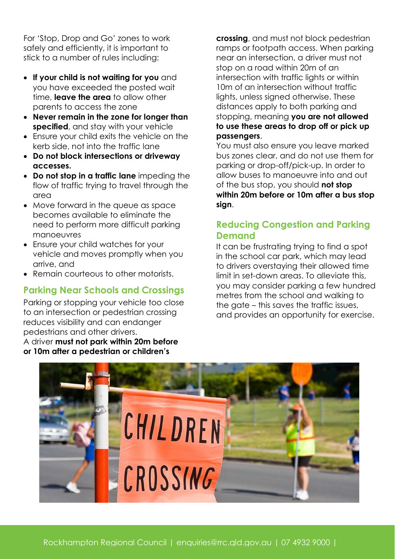For 'Stop, Drop and Go' zones to work safely and efficiently, it is important to stick to a number of rules including:

- **If your child is not waiting for you** and you have exceeded the posted wait time, **leave the area** to allow other parents to access the zone
- **Never remain in the zone for longer than specified**, and stay with your vehicle
- Ensure your child exits the vehicle on the kerb side, not into the traffic lane
- **Do not block intersections or driveway accesses.**
- **Do not stop in a traffic lane** impeding the flow of traffic trying to travel through the area
- Move forward in the queue as space becomes available to eliminate the need to perform more difficult parking manoeuvres
- Ensure your child watches for your vehicle and moves promptly when you arrive, and
- Remain courteous to other motorists.

## **Parking Near Schools and Crossings**

Parking or stopping your vehicle too close to an intersection or pedestrian crossing reduces visibility and can endanger pedestrians and other drivers.

A driver **must not park within 20m before or 10m after a pedestrian or children's** 

**crossing**, and must not block pedestrian ramps or footpath access. When parking near an intersection, a driver must not stop on a road within 20m of an intersection with traffic lights or within 10m of an intersection without traffic lights, unless signed otherwise. These distances apply to both parking and stopping, meaning **you are not allowed to use these areas to drop off or pick up passengers**.

You must also ensure you leave marked bus zones clear, and do not use them for parking or drop-off/pick-up. In order to allow buses to manoeuvre into and out of the bus stop, you should **not stop within 20m before or 10m after a bus stop sign**.

## **Reducing Congestion and Parking Demand**

It can be frustrating trying to find a spot in the school car park, which may lead to drivers overstaying their allowed time limit in set-down areas. To alleviate this, you may consider parking a few hundred metres from the school and walking to the gate – this saves the traffic issues, and provides an opportunity for exercise.